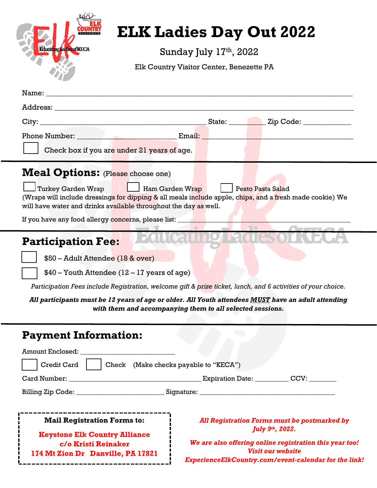| <b>KEYSTON</b><br>Educating Ladies of KECA |
|--------------------------------------------|
|--------------------------------------------|

 $\lambda$ 

## **ELK Ladies Day Out 2022**

Sunday July 17<sup>th</sup>, 2022

Elk Country Visitor Center, Benezette PA

| Name:<br><u> 1989 - Johann Stein, mars an de Frankryk († 1958)</u>                                                                                                                                                                                                                                                                                                                                  |
|-----------------------------------------------------------------------------------------------------------------------------------------------------------------------------------------------------------------------------------------------------------------------------------------------------------------------------------------------------------------------------------------------------|
|                                                                                                                                                                                                                                                                                                                                                                                                     |
|                                                                                                                                                                                                                                                                                                                                                                                                     |
| Phone Number: Email:                                                                                                                                                                                                                                                                                                                                                                                |
| Check box if you are under 21 years of age.                                                                                                                                                                                                                                                                                                                                                         |
| <b>Meal Options:</b> (Please choose one)<br><b>Turkey Garden Wrap</b><br>Ham Garden Wrap<br><b>Pesto Pasta Salad</b><br>(Wraps will include dressings for dipping & all meals include apple, chips, and a fresh made cookie) We<br>will have water and drinks available throughout the day as well.                                                                                                 |
| If you have any food allergy concerns, please list: ____                                                                                                                                                                                                                                                                                                                                            |
| <b>Participation Fee:</b><br>\$50 - Adult Attendee (18 & over)<br>\$40 - Youth Attendee (12 - 17 years of age)<br>Participation Fees include Registration, welcome gift & prize ticket, lunch, and 6 activities of your choice.<br>All participants must be 12 years of age or older. All Youth attendees MUST have an adult attending<br>with them and accompanying them to all selected sessions. |
| <b>Payment Information:</b><br><b>Amount Enclosed:</b>                                                                                                                                                                                                                                                                                                                                              |
| Credit Card<br>Check (Make checks payable to "KECA")                                                                                                                                                                                                                                                                                                                                                |
|                                                                                                                                                                                                                                                                                                                                                                                                     |
|                                                                                                                                                                                                                                                                                                                                                                                                     |
| <b>Mail Registration Forms to:</b><br>All Registration Forms must be postmarked by                                                                                                                                                                                                                                                                                                                  |
| July 9th, 2022.<br><b>Keystone Elk Country Alliance</b>                                                                                                                                                                                                                                                                                                                                             |
| We are also offering online registration this year too!<br>c/o Kristi Reinaker<br><b>Visit our website</b><br>174 Mt Zion Dr Danville, PA 17821<br>ExperienceElkCountry.com/event-calendar for the link!                                                                                                                                                                                            |